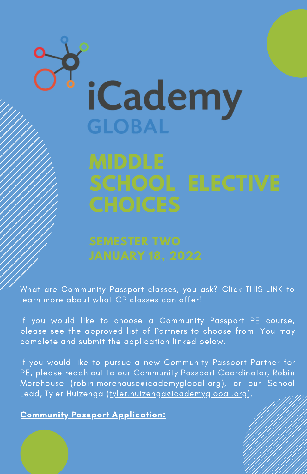# **iCademy GLOBAL**

What are Community Passport classes, you ask? Click **[THIS](https://documentcloud.adobe.com/link/track?uri=urn:aaid:scds:US:e8cee649-e550-4fcd-adaf-4abaeab4e2da) LINK** to learn more about what CP classes can offer!

If you would like to choose a Community Passport PE course, please see the approved list of Partners to choose from. You may complete and submit the application linked below.

If you would like to pursue a new Community Passport Partner for PE, please reach out to our Community Passport Coordinator, Robin Morehouse (robin.morehouse eicademyglobal.org), or our School Lead, Tyler Huizenga ([tyler.huizenga@icademyglobal.org\)](mailto:tyler.huizenga@icademyglobal.org).

Community Passport [Application:](https://docs.google.com/forms/d/e/1FAIpQLSf5KIN9U7e63eSAsD05irlk6vp5FA7WV_odLh4gmVPt-bn7gw/viewform?usp=sf_link)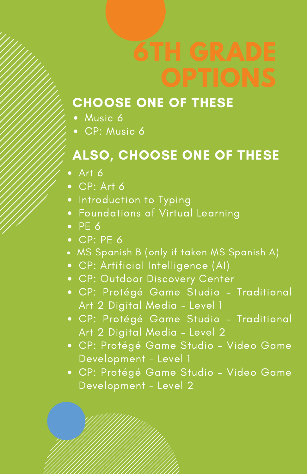### CHOOSE ONE OF THESE

- Music 6
- CP: Music 6

## ALSO, CHOOSE ONE OF THESE

- $•$  Art 6
- CP: Art 6
- Introduction to Typing
- Foundations of Virtual Learning
- $\bullet$  PE 6
- $\bullet$  CP: PE 6
- MS Spanish B (only if taken MS Spanish A)
- CP: Artificial Intelligence (AI)
- CP: Outdoor Discovery Center
- CP: Protégé Game Studio Traditional Art 2 Digital Media - Level 1
- CP: Protégé Game Studio Traditional Art 2 Digital Media – Level 2
- CP: Protégé Game Studio Video Game Development – Level 1
- CP: Protégé Game Studio Video Game Development – Level 2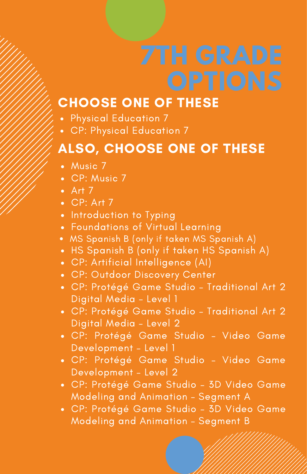### CHOOSE ONE OF THESE

- Physical Education 7
- CP: Physical Education 7

### ALSO, CHOOSE ONE OF THESE

- Music 7
- CP: Music 7
- $\overline{\phantom{a}}$  Art  $\overline{7}$
- $\bullet$  CP: Art 7
- Introduction to Typing
- Foundations of Virtual Learning
- MS Spanish B (only if taken MS Spanish A)
- HS Spanish B (only if taken HS Spanish A)
- CP: Artificial Intelligence (AI)
- CP: Outdoor Discovery Center
- CP: Protégé Game Studio Traditional Art 2 Digital Media - Level 1
- CP: Protégé Game Studio Traditional Art 2 Digital Media – Level 2
- CP: Protégé Game Studio Video Game Development – Level 1
- CP: Protégé Game Studio Video Game Development – Level 2
- CP: Protégé Game Studio 3D Video Game Modeling and Animation – Segment A
- CP: Protégé Game Studio 3D Video Game Modeling and Animation – Segment B